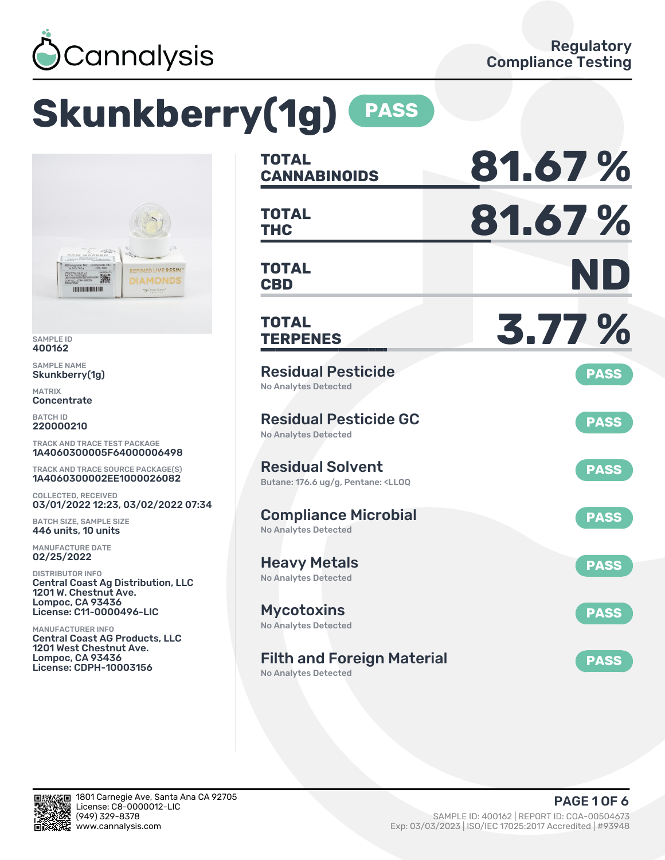

# **Skunkberry(1g) PASS**



SAMPLE ID 400162

SAMPLE NAME Skunkberry(1g)

MATRIX **Concentrate** 

BATCH ID 220000210

TRACK AND TRACE TEST PACKAGE 1A4060300005F64000006498

TRACK AND TRACE SOURCE PACKAGE(S) 1A4060300002EE1000026082

COLLECTED, RECEIVED 03/01/2022 12:23, 03/02/2022 07:34

BATCH SIZE, SAMPLE SIZE 446 units, 10 units

MANUFACTURE DATE 02/25/2022

DISTRIBUTOR INFO Central Coast Ag Distribution, LLC 1201 W. Chestnut Ave. Lompoc, CA 93436 License: C11-0000496-LIC

MANUFACTURER INFO Central Coast AG Products, LLC 1201 West Chestnut Ave. Lompoc, CA 93436 License: CDPH-10003156

| <b>TOTAL</b><br><b>CANNABINOIDS</b>                                                               | 81.67%      |
|---------------------------------------------------------------------------------------------------|-------------|
| <b>TOTAL</b><br><b>THC</b>                                                                        | 81.67%      |
| <b>TOTAL</b><br><b>CBD</b>                                                                        | ND          |
| <b>TOTAL</b><br><b>TERPENES</b>                                                                   | 3.77 %      |
| <b>Residual Pesticide</b><br><b>No Analytes Detected</b>                                          | <b>PASS</b> |
| <b>Residual Pesticide GC</b><br><b>No Analytes Detected</b>                                       | <b>PASS</b> |
| <b>Residual Solvent</b><br>Butane: 176.6 ug/g, Pentane: <ll0q< td=""><td><b>PASS</b></td></ll0q<> | <b>PASS</b> |
| <b>Compliance Microbial</b><br><b>No Analytes Detected</b>                                        | <b>PASS</b> |
| <b>Heavy Metals</b><br><b>No Analytes Detected</b>                                                | <b>PASS</b> |
| <b>Mycotoxins</b><br>No Analytes Detected                                                         | <b>PASS</b> |
| <b>Filth and Foreign Material</b>                                                                 | <b>PASS</b> |

No Analytes Detected

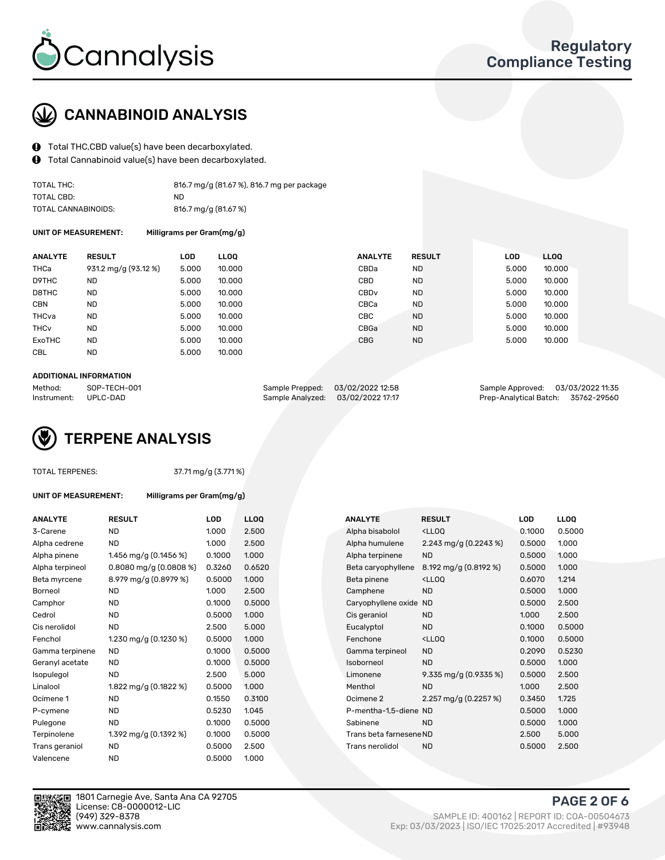

## CANNABINOID ANALYSIS

- Total THC,CBD value(s) have been decarboxylated.
- $\mathbf{\Theta}$ Total Cannabinoid value(s) have been decarboxylated.

| TOTAL THC:          | 816.7 mg/g (81.67 %), 816.7 mg per package |
|---------------------|--------------------------------------------|
| TOTAL CBD:          | ND.                                        |
| TOTAL CANNABINOIDS: | 816.7 mg/g (81.67 %)                       |

UNIT OF MEASUREMENT: Milligrams per Gram(mg/g)

| <b>ANALYTE</b>         | <b>RESULT</b>        | <b>LOD</b> | LLOO   | <b>ANALYTE</b>   | <b>RESULT</b> | <b>LOD</b> | <b>LLOQ</b> |
|------------------------|----------------------|------------|--------|------------------|---------------|------------|-------------|
| <b>THCa</b>            | 931.2 mg/g (93.12 %) | 5.000      | 10.000 | CBDa             | <b>ND</b>     | 5.000      | 10.000      |
| D9THC                  | <b>ND</b>            | 5.000      | 10.000 | CBD              | <b>ND</b>     | 5.000      | 10.000      |
| D8THC                  | <b>ND</b>            | 5.000      | 10.000 | CBD <sub>v</sub> | <b>ND</b>     | 5.000      | 10.000      |
| <b>CBN</b>             | <b>ND</b>            | 5.000      | 10.000 | CBCa             | <b>ND</b>     | 5.000      | 10.000      |
| THCva                  | <b>ND</b>            | 5.000      | 10.000 | CBC.             | <b>ND</b>     | 5.000      | 10.000      |
| <b>THC<sub>v</sub></b> | <b>ND</b>            | 5.000      | 10.000 | CBGa             | <b>ND</b>     | 5.000      | 10.000      |
| ExoTHC                 | <b>ND</b>            | 5.000      | 10.000 | <b>CBG</b>       | <b>ND</b>     | 5.000      | 10.000      |
| <b>CBL</b>             | <b>ND</b>            | 5.000      | 10.000 |                  |               |            |             |

#### ADDITIONAL INFORMATION

| Method:              | SOP-TECH-001 | Sample Prepped: 03/02/2022 12:58  | Sample Approved: 03/03/2022 11:35  |  |
|----------------------|--------------|-----------------------------------|------------------------------------|--|
| Instrument: UPLC-DAD |              | Sample Analyzed: 03/02/2022 17:17 | Prep-Analytical Batch: 35762-29560 |  |

## TERPENE ANALYSIS

| <b>TOTAL TERPENES:</b> |  |
|------------------------|--|
|------------------------|--|

37.71 mg/g (3.771 %)

| UNIT OF MEASUREMENT: | Milligra |
|----------------------|----------|
|                      |          |

**IMS** per Gram(mg/g)

| <b>ANALYTE</b>  | <b>RESULT</b>             | <b>LOD</b> | <b>LLOQ</b> |  | <b>ANALYTE</b>          | <b>RESULT</b>                                      | <b>LOD</b> | <b>LLOQ</b> |
|-----------------|---------------------------|------------|-------------|--|-------------------------|----------------------------------------------------|------------|-------------|
| 3-Carene        | ND                        | 1.000      | 2.500       |  | Alpha bisabolol         | <ll0q< td=""><td>0.1000</td><td>0.500</td></ll0q<> | 0.1000     | 0.500       |
| Alpha cedrene   | ND                        | 1.000      | 2.500       |  | Alpha humulene          | 2.243 mg/g $(0.2243\%)$                            | 0.5000     | 1.000       |
| Alpha pinene    | 1.456 mg/g $(0.1456\%)$   | 0.1000     | 1.000       |  | Alpha terpinene         | <b>ND</b>                                          | 0.5000     | 1.000       |
| Alpha terpineol | $0.8080$ mg/g $(0.0808%)$ | 0.3260     | 0.6520      |  | Beta caryophyllene      | 8.192 mg/g (0.8192 %)                              | 0.5000     | 1.000       |
| Beta myrcene    | 8.979 mg/g (0.8979 %)     | 0.5000     | 1.000       |  | Beta pinene             | <ll0q< td=""><td>0.6070</td><td>1.214</td></ll0q<> | 0.6070     | 1.214       |
| Borneol         | <b>ND</b>                 | 1.000      | 2.500       |  | Camphene                | <b>ND</b>                                          | 0.5000     | 1.000       |
| Camphor         | <b>ND</b>                 | 0.1000     | 0.5000      |  | Caryophyllene oxide ND  |                                                    | 0.5000     | 2.500       |
| Cedrol          | <b>ND</b>                 | 0.5000     | 1.000       |  | Cis geraniol            | <b>ND</b>                                          | 1.000      | 2.500       |
| Cis nerolidol   | <b>ND</b>                 | 2.500      | 5.000       |  | Eucalyptol              | <b>ND</b>                                          | 0.1000     | 0.500       |
| Fenchol         | 1.230 mg/g $(0.1230\%)$   | 0.5000     | 1.000       |  | Fenchone                | <lloq< td=""><td>0.1000</td><td>0.500</td></lloq<> | 0.1000     | 0.500       |
| Gamma terpinene | <b>ND</b>                 | 0.1000     | 0.5000      |  | Gamma terpineol         | <b>ND</b>                                          | 0.2090     | 0.523       |
| Geranyl acetate | <b>ND</b>                 | 0.1000     | 0.5000      |  | Isoborneol              | <b>ND</b>                                          | 0.5000     | 1.000       |
| Isopulegol      | <b>ND</b>                 | 2.500      | 5.000       |  | Limonene                | 9.335 mg/g $(0.9335\%)$                            | 0.5000     | 2.500       |
| Linalool        | 1.822 mg/g (0.1822 %)     | 0.5000     | 1.000       |  | Menthol                 | <b>ND</b>                                          | 1.000      | 2.500       |
| Ocimene 1       | ND                        | 0.1550     | 0.3100      |  | Ocimene 2               | 2.257 mg/g $(0.2257%)$                             | 0.3450     | 1.725       |
| P-cymene        | ND                        | 0.5230     | 1.045       |  | P-mentha-1,5-diene ND   |                                                    | 0.5000     | 1.000       |
| Pulegone        | <b>ND</b>                 | 0.1000     | 0.5000      |  | Sabinene                | <b>ND</b>                                          | 0.5000     | 1.000       |
| Terpinolene     | 1.392 mg/g (0.1392 %)     | 0.1000     | 0.5000      |  | Trans beta farnesene ND |                                                    | 2.500      | 5.000       |
| Trans geraniol  | ND                        | 0.5000     | 2.500       |  | Trans nerolidol         | <b>ND</b>                                          | 0.5000     | 2.500       |
| Valencene       | <b>ND</b>                 | 0.5000     | 1.000       |  |                         |                                                    |            |             |

| ANALIIE         | RESULI                    | LUU    | LLUU   |  | ANALIE                  | RESULI                                              | LUU    | LLUU   |
|-----------------|---------------------------|--------|--------|--|-------------------------|-----------------------------------------------------|--------|--------|
| 3-Carene        | <b>ND</b>                 | 1.000  | 2.500  |  | Alpha bisabolol         | <ll0q< td=""><td>0.1000</td><td>0.5000</td></ll0q<> | 0.1000 | 0.5000 |
| Alpha cedrene   | <b>ND</b>                 | 1.000  | 2.500  |  | Alpha humulene          | 2.243 mg/g $(0.2243\%)$                             | 0.5000 | 1.000  |
| Alpha pinene    | 1.456 mg/g $(0.1456\%)$   | 0.1000 | 1.000  |  | Alpha terpinene         | <b>ND</b>                                           | 0.5000 | 1.000  |
| Alpha terpineol | $0.8080$ mg/g $(0.0808%)$ | 0.3260 | 0.6520 |  | Beta caryophyllene      | 8.192 mg/g (0.8192 %)                               | 0.5000 | 1.000  |
| Beta myrcene    | 8.979 mg/g (0.8979 %)     | 0.5000 | 1.000  |  | Beta pinene             | <ll0q< td=""><td>0.6070</td><td>1.214</td></ll0q<>  | 0.6070 | 1.214  |
| Borneol         | <b>ND</b>                 | 1.000  | 2.500  |  | Camphene                | <b>ND</b>                                           | 0.5000 | 1.000  |
| Camphor         | <b>ND</b>                 | 0.1000 | 0.5000 |  | Caryophyllene oxide     | <b>ND</b>                                           | 0.5000 | 2.500  |
| Cedrol          | <b>ND</b>                 | 0.5000 | 1.000  |  | Cis geraniol            | <b>ND</b>                                           | 1.000  | 2.500  |
| Cis nerolidol   | <b>ND</b>                 | 2.500  | 5.000  |  | Eucalyptol              | <b>ND</b>                                           | 0.1000 | 0.5000 |
| Fenchol         | 1.230 mg/g $(0.1230\%)$   | 0.5000 | 1.000  |  | Fenchone                | <ll0q< td=""><td>0.1000</td><td>0.5000</td></ll0q<> | 0.1000 | 0.5000 |
| Gamma terpinene | ND.                       | 0.1000 | 0.5000 |  | Gamma terpineol         | <b>ND</b>                                           | 0.2090 | 0.5230 |
| Geranyl acetate | ND.                       | 0.1000 | 0.5000 |  | Isoborneol              | <b>ND</b>                                           | 0.5000 | 1.000  |
| Isopulegol      | <b>ND</b>                 | 2.500  | 5.000  |  | Limonene                | 9.335 mg/g $(0.9335\%)$                             | 0.5000 | 2.500  |
| Linalool        | 1.822 mg/g (0.1822 %)     | 0.5000 | 1.000  |  | Menthol                 | <b>ND</b>                                           | 1.000  | 2.500  |
| Ocimene 1       | <b>ND</b>                 | 0.1550 | 0.3100 |  | Ocimene 2               | 2.257 mg/g (0.2257 %)                               | 0.3450 | 1.725  |
| P-cymene        | <b>ND</b>                 | 0.5230 | 1.045  |  | P-mentha-1,5-diene ND   |                                                     | 0.5000 | 1.000  |
| Pulegone        | <b>ND</b>                 | 0.1000 | 0.5000 |  | Sabinene                | <b>ND</b>                                           | 0.5000 | 1.000  |
| Terpinolene     | 1.392 mg/g $(0.1392 \%)$  | 0.1000 | 0.5000 |  | Trans beta farnesene ND |                                                     | 2.500  | 5.000  |
| Trans geraniol  | <b>ND</b>                 | 0.5000 | 2.500  |  | Trans nerolidol         | <b>ND</b>                                           | 0.5000 | 2.500  |
|                 |                           |        |        |  |                         |                                                     |        |        |



1801 Carnegie Ave, Santa Ana CA 92705 License: C8-0000012-LIC<br>(949) 329-8378 (949) 329-8378 SAMPLE ID: 400162 | REPORT ID: COA-00504673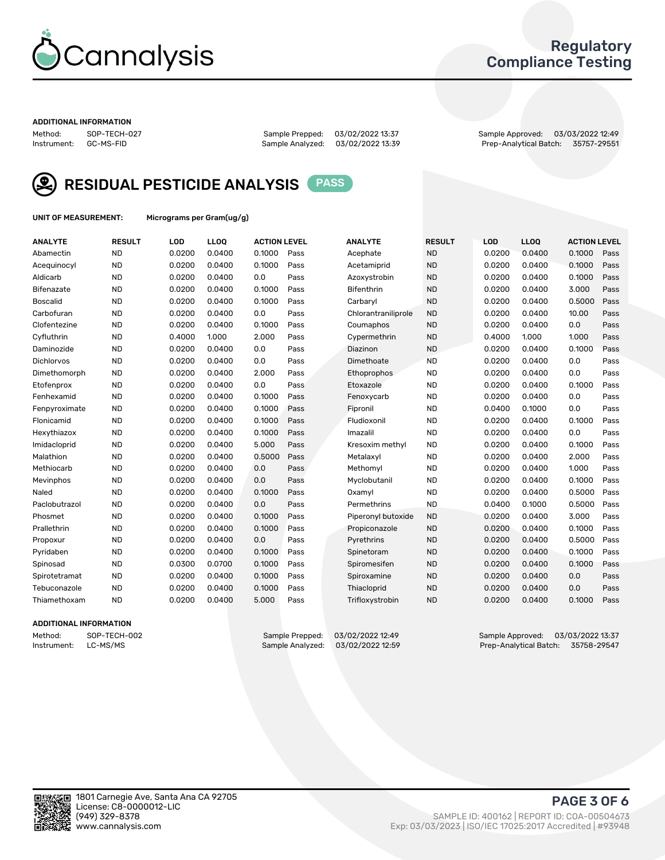

## Regulatory Compliance Testing

#### ADDITIONAL INFORMATION

Sample Analyzed: 03/02/2022 13:39

Method: SOP-TECH-027 Sample Prepped: 03/02/2022 13:37 Sample Approved: 03/03/2022 12:49



RESIDUAL PESTICIDE ANALYSIS PASS

UNIT OF MEASUREMENT: Micrograms per Gram(ug/g)

| <b>ANALYTE</b>    | <b>RESULT</b> | LOD    | LL <sub>OO</sub> | <b>ACTION LEVEL</b> |      | <b>ANALYTE</b>      | <b>RESULT</b> | LOD    | <b>LLOQ</b> | <b>ACTION LEVEL</b> |      |
|-------------------|---------------|--------|------------------|---------------------|------|---------------------|---------------|--------|-------------|---------------------|------|
| Abamectin         | <b>ND</b>     | 0.0200 | 0.0400           | 0.1000              | Pass | Acephate            | <b>ND</b>     | 0.0200 | 0.0400      | 0.1000              | Pass |
| Acequinocyl       | <b>ND</b>     | 0.0200 | 0.0400           | 0.1000              | Pass | Acetamiprid         | <b>ND</b>     | 0.0200 | 0.0400      | 0.1000              | Pass |
| Aldicarb          | <b>ND</b>     | 0.0200 | 0.0400           | 0.0                 | Pass | Azoxystrobin        | <b>ND</b>     | 0.0200 | 0.0400      | 0.1000              | Pass |
| Bifenazate        | <b>ND</b>     | 0.0200 | 0.0400           | 0.1000              | Pass | <b>Bifenthrin</b>   | <b>ND</b>     | 0.0200 | 0.0400      | 3.000               | Pass |
| Boscalid          | <b>ND</b>     | 0.0200 | 0.0400           | 0.1000              | Pass | Carbarvl            | <b>ND</b>     | 0.0200 | 0.0400      | 0.5000              | Pass |
| Carbofuran        | <b>ND</b>     | 0.0200 | 0.0400           | 0.0                 | Pass | Chlorantraniliprole | <b>ND</b>     | 0.0200 | 0.0400      | 10.00               | Pass |
| Clofentezine      | <b>ND</b>     | 0.0200 | 0.0400           | 0.1000              | Pass | Coumaphos           | <b>ND</b>     | 0.0200 | 0.0400      | 0.0                 | Pass |
| Cyfluthrin        | <b>ND</b>     | 0.4000 | 1.000            | 2.000               | Pass | Cypermethrin        | <b>ND</b>     | 0.4000 | 1.000       | 1.000               | Pass |
| Daminozide        | <b>ND</b>     | 0.0200 | 0.0400           | 0.0                 | Pass | Diazinon            | <b>ND</b>     | 0.0200 | 0.0400      | 0.1000              | Pass |
| <b>Dichlorvos</b> | <b>ND</b>     | 0.0200 | 0.0400           | 0.0                 | Pass | Dimethoate          | <b>ND</b>     | 0.0200 | 0.0400      | 0.0                 | Pass |
| Dimethomorph      | <b>ND</b>     | 0.0200 | 0.0400           | 2.000               | Pass | <b>Ethoprophos</b>  | <b>ND</b>     | 0.0200 | 0.0400      | 0.0                 | Pass |
| Etofenprox        | <b>ND</b>     | 0.0200 | 0.0400           | 0.0                 | Pass | Etoxazole           | <b>ND</b>     | 0.0200 | 0.0400      | 0.1000              | Pass |
| Fenhexamid        | <b>ND</b>     | 0.0200 | 0.0400           | 0.1000              | Pass | Fenoxycarb          | <b>ND</b>     | 0.0200 | 0.0400      | 0.0                 | Pass |
| Fenpyroximate     | <b>ND</b>     | 0.0200 | 0.0400           | 0.1000              | Pass | Fipronil            | <b>ND</b>     | 0.0400 | 0.1000      | 0.0                 | Pass |
| Flonicamid        | <b>ND</b>     | 0.0200 | 0.0400           | 0.1000              | Pass | Fludioxonil         | <b>ND</b>     | 0.0200 | 0.0400      | 0.1000              | Pass |
| Hexythiazox       | <b>ND</b>     | 0.0200 | 0.0400           | 0.1000              | Pass | Imazalil            | <b>ND</b>     | 0.0200 | 0.0400      | 0.0                 | Pass |
| Imidacloprid      | <b>ND</b>     | 0.0200 | 0.0400           | 5.000               | Pass | Kresoxim methyl     | <b>ND</b>     | 0.0200 | 0.0400      | 0.1000              | Pass |
| Malathion         | <b>ND</b>     | 0.0200 | 0.0400           | 0.5000              | Pass | Metalaxyl           | <b>ND</b>     | 0.0200 | 0.0400      | 2.000               | Pass |
| Methiocarb        | <b>ND</b>     | 0.0200 | 0.0400           | 0.0                 | Pass | Methomyl            | <b>ND</b>     | 0.0200 | 0.0400      | 1.000               | Pass |
| Mevinphos         | <b>ND</b>     | 0.0200 | 0.0400           | 0.0                 | Pass | Myclobutanil        | <b>ND</b>     | 0.0200 | 0.0400      | 0.1000              | Pass |
| Naled             | <b>ND</b>     | 0.0200 | 0.0400           | 0.1000              | Pass | Oxamyl              | <b>ND</b>     | 0.0200 | 0.0400      | 0.5000              | Pass |
| Paclobutrazol     | <b>ND</b>     | 0.0200 | 0.0400           | 0.0                 | Pass | Permethrins         | <b>ND</b>     | 0.0400 | 0.1000      | 0.5000              | Pass |
| Phosmet           | <b>ND</b>     | 0.0200 | 0.0400           | 0.1000              | Pass | Piperonyl butoxide  | <b>ND</b>     | 0.0200 | 0.0400      | 3.000               | Pass |
| Prallethrin       | <b>ND</b>     | 0.0200 | 0.0400           | 0.1000              | Pass | Propiconazole       | <b>ND</b>     | 0.0200 | 0.0400      | 0.1000              | Pass |
| Propoxur          | <b>ND</b>     | 0.0200 | 0.0400           | 0.0                 | Pass | Pyrethrins          | <b>ND</b>     | 0.0200 | 0.0400      | 0.5000              | Pass |
| Pyridaben         | <b>ND</b>     | 0.0200 | 0.0400           | 0.1000              | Pass | Spinetoram          | <b>ND</b>     | 0.0200 | 0.0400      | 0.1000              | Pass |
| Spinosad          | <b>ND</b>     | 0.0300 | 0.0700           | 0.1000              | Pass | Spiromesifen        | <b>ND</b>     | 0.0200 | 0.0400      | 0.1000              | Pass |
| Spirotetramat     | <b>ND</b>     | 0.0200 | 0.0400           | 0.1000              | Pass | Spiroxamine         | <b>ND</b>     | 0.0200 | 0.0400      | 0.0                 | Pass |
| Tebuconazole      | <b>ND</b>     | 0.0200 | 0.0400           | 0.1000              | Pass | Thiacloprid         | <b>ND</b>     | 0.0200 | 0.0400      | 0.0                 | Pass |
| Thiamethoxam      | <b>ND</b>     | 0.0200 | 0.0400           | 5.000               | Pass | Trifloxystrobin     | <b>ND</b>     | 0.0200 | 0.0400      | 0.1000              | Pass |

#### ADDITIONAL INFORMATION

Method: SOP-TECH-002 Sample Prepped: 03/02/2022 12:49 Sample Approved: 03/03/2022 13:37<br>Sample Analyzed: 03/02/2022 12:59 Prep-Analytical Batch: 35758-29547 Prep-Analytical Batch: 35758-29547

PAGE 3 OF 6

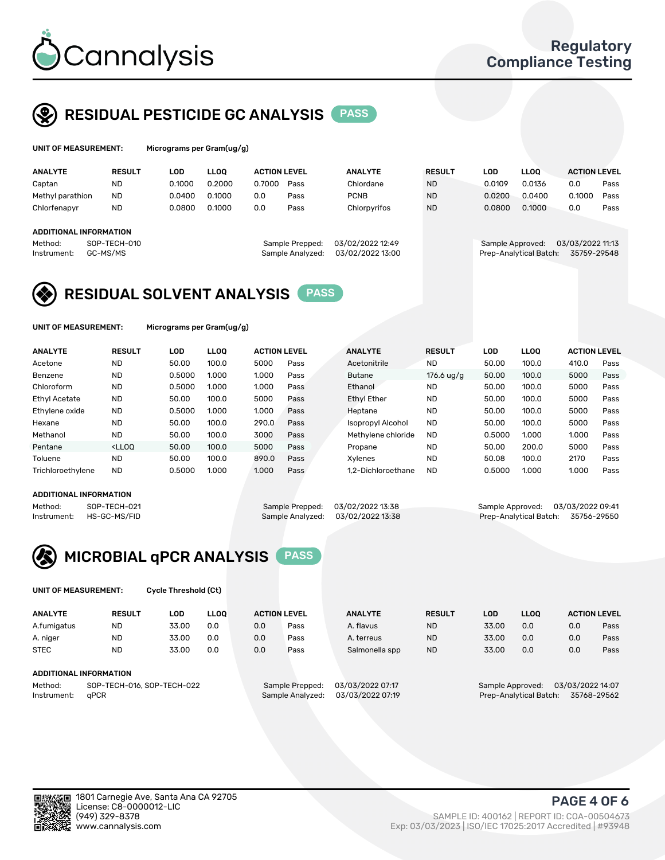

## RESIDUAL PESTICIDE GC ANALYSIS PASS

| UNIT OF MEASUREMENT:   |                          |        | Micrograms per Gram(ug/g) |                     |                                     |                                      |               |        |                                            |  |                                 |      |  |  |
|------------------------|--------------------------|--------|---------------------------|---------------------|-------------------------------------|--------------------------------------|---------------|--------|--------------------------------------------|--|---------------------------------|------|--|--|
| <b>ANALYTE</b>         | <b>RESULT</b>            | LOD    | <b>LLOO</b>               | <b>ACTION LEVEL</b> |                                     | <b>ANALYTE</b>                       | <b>RESULT</b> | LOD    | <b>LLOO</b>                                |  | <b>ACTION LEVEL</b>             |      |  |  |
| Captan                 | <b>ND</b>                | 0.1000 | 0.2000                    | 0.7000              | Pass                                | Chlordane                            | <b>ND</b>     | 0.0109 | 0.0136                                     |  | 0.0                             | Pass |  |  |
| Methyl parathion       | <b>ND</b>                | 0.0400 | 0.1000                    | 0.0                 | Pass                                | <b>PCNB</b>                          | <b>ND</b>     | 0.0200 | 0.0400                                     |  | 0.1000                          | Pass |  |  |
| Chlorfenapyr           | <b>ND</b>                | 0.0800 | 0.1000                    | 0.0                 | Pass                                | Chlorpyrifos                         | <b>ND</b>     | 0.0800 | 0.1000                                     |  | 0.0                             | Pass |  |  |
| ADDITIONAL INFORMATION |                          |        |                           |                     |                                     |                                      |               |        |                                            |  |                                 |      |  |  |
| Method:<br>Instrument: | SOP-TECH-010<br>GC-MS/MS |        |                           |                     | Sample Prepped:<br>Sample Analyzed: | 03/02/2022 12:49<br>03/02/2022 13:00 |               |        | Sample Approved:<br>Prep-Analytical Batch: |  | 03/03/2022 11:13<br>35759-29548 |      |  |  |

# RESIDUAL SOLVENT ANALYSIS **PASS**

UNIT OF MEASUREMENT: Micrograms per Gram(ug/g)

| <b>ANALYTE</b>       | <b>RESULT</b>                                                                                                                                                       | <b>LOD</b> | <b>LLOO</b> | <b>ACTION LEVEL</b> |      | <b>ANALYTE</b>           | <b>RESULT</b> | LOD    | <b>LLOO</b> | <b>ACTION LEVEL</b> |      |
|----------------------|---------------------------------------------------------------------------------------------------------------------------------------------------------------------|------------|-------------|---------------------|------|--------------------------|---------------|--------|-------------|---------------------|------|
| Acetone              | <b>ND</b>                                                                                                                                                           | 50.00      | 100.0       | 5000                | Pass | Acetonitrile             | <b>ND</b>     | 50.00  | 100.0       | 410.0               | Pass |
| Benzene              | <b>ND</b>                                                                                                                                                           | 0.5000     | 1.000       | 1.000               | Pass | <b>Butane</b>            | 176.6 $uq/q$  | 50.00  | 100.0       | 5000                | Pass |
| Chloroform           | <b>ND</b>                                                                                                                                                           | 0.5000     | 1.000       | 1.000               | Pass | Ethanol                  | <b>ND</b>     | 50.00  | 100.0       | 5000                | Pass |
| <b>Ethyl Acetate</b> | <b>ND</b>                                                                                                                                                           | 50.00      | 100.0       | 5000                | Pass | <b>Ethyl Ether</b>       | <b>ND</b>     | 50.00  | 100.0       | 5000                | Pass |
| Ethylene oxide       | <b>ND</b>                                                                                                                                                           | 0.5000     | 1.000       | 1.000               | Pass | Heptane                  | <b>ND</b>     | 50.00  | 100.0       | 5000                | Pass |
| Hexane               | <b>ND</b>                                                                                                                                                           | 50.00      | 100.0       | 290.0               | Pass | <b>Isopropyl Alcohol</b> | <b>ND</b>     | 50.00  | 100.0       | 5000                | Pass |
| Methanol             | <b>ND</b>                                                                                                                                                           | 50.00      | 100.0       | 3000                | Pass | Methylene chloride       | <b>ND</b>     | 0.5000 | 1.000       | 1.000               | Pass |
| Pentane              | <lloo< td=""><td>50.00</td><td>100.0</td><td>5000</td><td>Pass</td><td>Propane</td><td><b>ND</b></td><td>50.00</td><td>200.0</td><td>5000</td><td>Pass</td></lloo<> | 50.00      | 100.0       | 5000                | Pass | Propane                  | <b>ND</b>     | 50.00  | 200.0       | 5000                | Pass |
| Toluene              | <b>ND</b>                                                                                                                                                           | 50.00      | 100.0       | 890.0               | Pass | Xvlenes                  | <b>ND</b>     | 50.08  | 100.0       | 2170                | Pass |
| Trichloroethylene    | <b>ND</b>                                                                                                                                                           | 0.5000     | 1.000       | 1.000               | Pass | 1.2-Dichloroethane       | <b>ND</b>     | 0.5000 | 1.000       | 1.000               | Pass |

#### ADDITIONAL INFORMATION

Method: SOP-TECH-021 Sample Prepped: 03/02/2022 13:38 Sample Approved: 03/03/2022 13:38<br>Sample Analyzed: 03/02/2022 13:38 Prep-Analytical Batch: 35756-29550 Prep-Analytical Batch: 35756-29550



UNIT OF MEASUREMENT: Cycle Threshold (Ct)

| <b>ANALYTE</b>                        | <b>RESULT</b>          | LOD   | <b>LLOO</b>      |                  | <b>ACTION LEVEL</b> | <b>ANALYTE</b> | <b>RESULT</b>                        | <b>LOD</b> | <b>LLOO</b> |     | <b>ACTION LEVEL</b> |
|---------------------------------------|------------------------|-------|------------------|------------------|---------------------|----------------|--------------------------------------|------------|-------------|-----|---------------------|
| A.fumigatus                           | <b>ND</b>              | 33.00 | 0.0              | 0.0              | Pass                | A. flavus      | <b>ND</b>                            | 33.00      | 0.0         | 0.0 | Pass                |
| A. niger                              | <b>ND</b>              | 33.00 | 0.0              | 0.0              | Pass                | A. terreus     | <b>ND</b>                            | 33.00      | 0.0         | 0.0 | Pass                |
| <b>STEC</b>                           | <b>ND</b>              | 33.00 | 0.0              | 0.0              | Pass                | Salmonella spp | <b>ND</b>                            | 33.00      | 0.0         | 0.0 | Pass                |
|                                       | ADDITIONAL INFORMATION |       |                  |                  |                     |                |                                      |            |             |     |                     |
| SOP-TECH-016, SOP-TECH-022<br>Method: |                        |       |                  | Sample Prepped:  | 03/03/2022 07:17    |                | 03/03/2022 14:07<br>Sample Approved: |            |             |     |                     |
| aPCR<br>Instrument:                   |                        |       | Sample Analyzed: | 03/03/2022 07:19 |                     |                | Prep-Analytical Batch:               |            | 35768-29562 |     |                     |

ŢП

PAGE 4 OF 6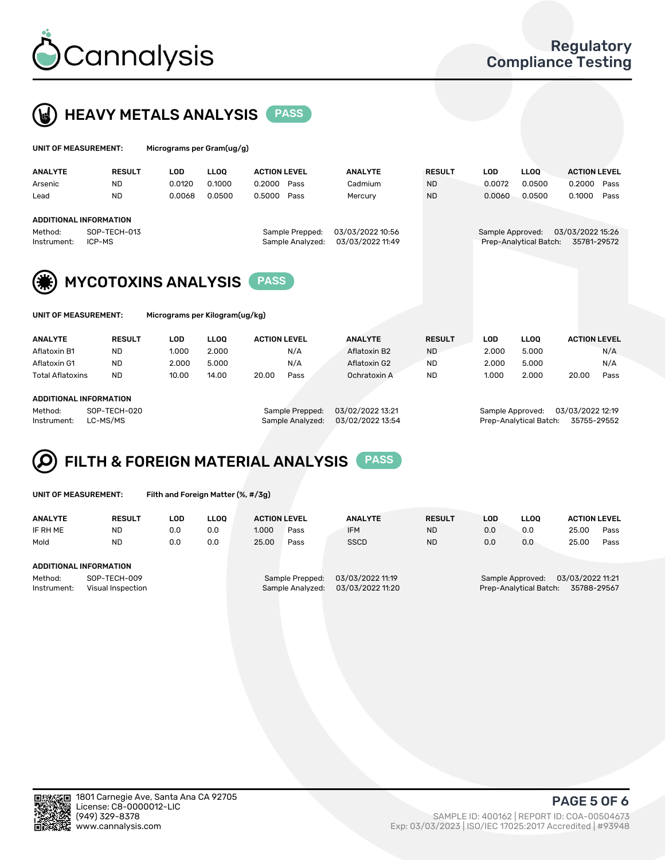



| UNIT OF MEASUREMENT:                                                       |               | Micrograms per Gram(ug/g) |             |                     |                                     |                                      |               |                  |                        |                                 |  |
|----------------------------------------------------------------------------|---------------|---------------------------|-------------|---------------------|-------------------------------------|--------------------------------------|---------------|------------------|------------------------|---------------------------------|--|
| <b>ANALYTE</b>                                                             | <b>RESULT</b> | <b>LOD</b>                | <b>LLOO</b> | <b>ACTION LEVEL</b> |                                     | <b>ANALYTE</b>                       | <b>RESULT</b> | <b>LOD</b>       | <b>LLOO</b>            | <b>ACTION LEVEL</b>             |  |
| Arsenic                                                                    | <b>ND</b>     | 0.0120                    | 0.1000      | 0.2000              | Pass                                | Cadmium                              | ND.           | 0.0072           | 0.0500                 | 0.2000<br>Pass                  |  |
| Lead                                                                       | <b>ND</b>     | 0.0068                    | 0.0500      | 0.5000              | Pass                                | Mercury                              | <b>ND</b>     | 0.0060           | 0.0500                 | 0.1000<br>Pass                  |  |
| ADDITIONAL INFORMATION<br>SOP-TECH-013<br>Method:<br>ICP-MS<br>Instrument: |               |                           |             |                     | Sample Prepped:<br>Sample Analyzed: | 03/03/2022 10:56<br>03/03/2022 11:49 |               | Sample Approved: | Prep-Analytical Batch: | 03/03/2022 15:26<br>35781-29572 |  |
| (纂)<br><b>MYCOTOXINS ANALYSIS</b><br><b>PASS</b>                           |               |                           |             |                     |                                     |                                      |               |                  |                        |                                 |  |
| UNIT OF MEASUREMENT:<br>Micrograms per Kilogram(ug/kg)                     |               |                           |             |                     |                                     |                                      |               |                  |                        |                                 |  |

| <b>ANALYTE</b>          | <b>RESULT</b> | LOD             | <b>LLOO</b>      | <b>ACTION LEVEL</b> | <b>ANALYTE</b>   | <b>RESULT</b> | LOD              | <b>LLOO</b> | <b>ACTION LEVEL</b> |      |
|-------------------------|---------------|-----------------|------------------|---------------------|------------------|---------------|------------------|-------------|---------------------|------|
| Aflatoxin B1            | ND            | 1.000           | 2.000            | N/A                 | Aflatoxin B2     | <b>ND</b>     | 2.000            | 5.000       |                     | N/A  |
| Aflatoxin G1            | <b>ND</b>     | 2.000           | 5.000            | N/A                 | Aflatoxin G2     | <b>ND</b>     | 2.000            | 5.000       |                     | N/A  |
| <b>Total Aflatoxins</b> | <b>ND</b>     | 10.00           | 14.00            | 20.00<br>Pass       | Ochratoxin A     | <b>ND</b>     | 1.000            | 2.000       | 20.00               | Pass |
| ADDITIONAL INFORMATION  |               |                 |                  |                     |                  |               |                  |             |                     |      |
| Method:<br>SOP-TECH-020 |               | Sample Prepped: | 03/02/2022 13:21 |                     | Sample Approved: |               | 03/03/2022 12:19 |             |                     |      |

Instrument: LC-MS/MS Sample Analyzed: 03/02/2022 13:54 Prep-Analytical Batch: 35755-29552

#### FILTH & FOREIGN MATERIAL ANALYSIS PASS Q

UNIT OF MEASUREMENT: Filth and Foreign Matter (%, #/3g)

| <b>ANALYTE</b>                   | <b>RESULT</b> | LOD | <b>LLOO</b>                         | <b>ACTION LEVEL</b> |                  | <b>ANALYTE</b>   | <b>RESULT</b>                         | LOD | <b>LLOO</b> | <b>ACTION LEVEL</b> |      |
|----------------------------------|---------------|-----|-------------------------------------|---------------------|------------------|------------------|---------------------------------------|-----|-------------|---------------------|------|
| IF RH ME                         | ND            | 0.0 | 0.0                                 | 1.000               | Pass             | <b>IFM</b>       | <b>ND</b>                             | 0.0 | 0.0         | 25.00               | Pass |
| Mold                             | <b>ND</b>     | 0.0 | 0.0                                 | 25.00               | Pass             | <b>SSCD</b>      | <b>ND</b>                             | 0.0 | 0.0         | 25.00               | Pass |
|                                  |               |     |                                     |                     |                  |                  |                                       |     |             |                     |      |
| ADDITIONAL INFORMATION           |               |     |                                     |                     |                  |                  |                                       |     |             |                     |      |
| SOP-TECH-009<br>Method:          |               |     | 03/03/2022 11:19<br>Sample Prepped: |                     |                  |                  | 03/03/2022 11:21<br>Sample Approved:  |     |             |                     |      |
| Instrument:<br>Visual Inspection |               |     |                                     |                     | Sample Analyzed: | 03/03/2022 11:20 | Prep-Analytical Batch:<br>35788-29567 |     |             |                     |      |